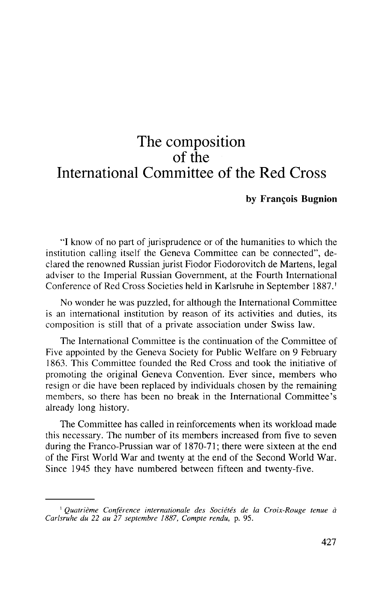## The composition of the International Committee of the Red Cross

## **by Frangois Bugnion**

**"I** know of no part of jurisprudence or of the humanities to which the institution calling itself the Geneva Committee can be connected", declared the renowned Russian jurist Fiodor Fiodorovitch de Martens, legal adviser to the Imperial Russian Government, at the Fourth International Conference of Red Cross Societies held in Karlsruhe in September 1887.'

No wonder he was puzzled, for although the International Committee is an international institution by reason of its activities and duties, its composition is still that of a private association under Swiss law.

The International Committee is the continuation of the Committee of Five appointed by the Geneva Society for Public Welfare on 9 February 1863. This Committee founded the Red Cross and took the initiative of promoting the original Geneva Convention. Ever since, members who resign or die have been replaced by individuals chosen by the remaining members, so there has been no break in the International Committee's already long history.

The Committee has called in reinforcements when its workload made this necessary. The number of its members increased from five to seven during the Franco-Prussian war of 1870-71; there were sixteen at the end of the First World War and twenty at the end of the Second World War. Since 1945 they have numbered between fifteen and twenty-five.

<sup>1</sup>  *Quatrieme Conference Internationale des Societes de la Croix-Rouge tenue a Carlsruhe du 22 au 27 septembre 1887, Compte rendu,* p. 95.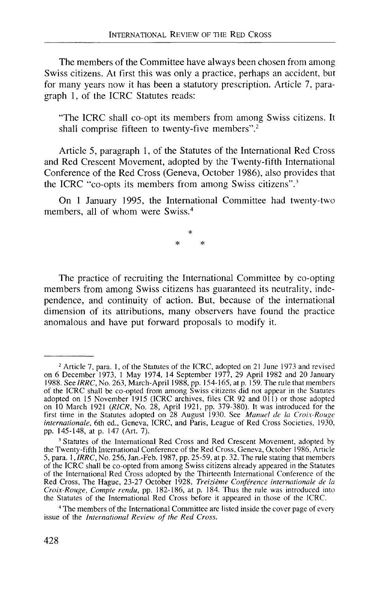The members of the Committee have always been chosen from among Swiss citizens. At first this was only a practice, perhaps an accident, but for many years now it has been a statutory prescription. Article 7, paragraph 1, of the ICRC Statutes reads:

"The ICRC shall co-opt its members from among Swiss citizens. It shall comprise fifteen to twenty-five members".<sup>2</sup>

Article 5, paragraph 1, of the Statutes of the International Red Cross and Red Crescent Movement, adopted by the Twenty-fifth International Conference of the Red Cross (Geneva, October 1986), also provides that the ICRC "co-opts its members from among Swiss citizens".'

On 1 January 1995, the International Committee had twenty-two members, all of whom were Swiss.<sup>4</sup>

> \* \* \*

The practice of recruiting the International Committee by co-opting members from among Swiss citizens has guaranteed its neutrality, independence, and continuity of action. But, because of the international dimension of its attributions, many observers have found the practice anomalous and have put forward proposals to modify it.

<sup>4</sup> The members of the International Committee are listed inside the cover page of every issue of the *International Review of the Red Cross.*

<sup>&</sup>lt;sup>2</sup> Article 7, para. 1, of the Statutes of the ICRC, adopted on 21 June 1973 and revised on 6 December 1973, 1 May 1974, 14 September 1977, 29 April 1982 and 20 January 1988. See *IRRC,* No. 263, March-April 1988, pp. 154-165, at p. 159. The rule that members of the ICRC shall be co-opted from among Swiss citizens did not appear in the Statutes adopted on 15 November 1915 (ICRC archives, files CR 92 and 011) or those adopted on 10 March 1921 *(RICR,* No. 28, April 1921, pp. 379-380). It was introduced for the first time in the Statutes adopted on 28 August 1930. See *Manuel de la Croix-Rouge internationale,* 6th ed., Geneva, ICRC, and Paris, League of Red Cross Societies, 1930, pp. 145-148, at p. 147 (Art. 7).

<sup>&</sup>lt;sup>3</sup> Statutes of the International Red Cross and Red Crescent Movement, adopted by the Twenty-fifth International Conference of the Red Cross, Geneva, October 1986, Article 5, para. 1, *IRRC,* No. 256, Jan.-Feb. 1987, pp. 25-59, at p. 32. The rule stating that members of the ICRC shall be co-opted from among Swiss citizens already appeared in the Statutes of the International Red Cross adopted by the Thirteenth International Conference of the Red Cross, The Hague, 23-27 October 1928, *Treizieme Conference internationale de la Croix-Rouge, Compte rendu,* pp. 182-186, at p. 184. Thus the rule was introduced into the Statutes of the International Red Cross before it appeared in those of the ICRC.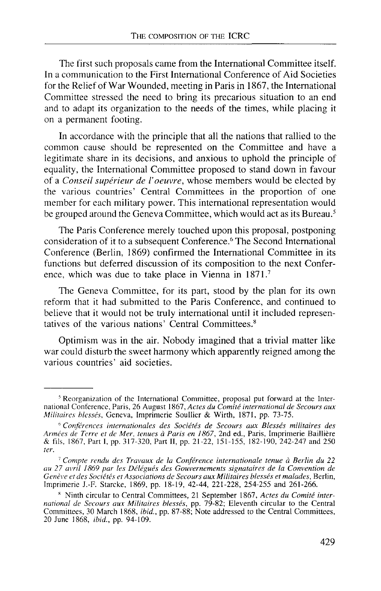The first such proposals came from the International Committee itself. In a communication to the First International Conference of Aid Societies for the Relief of War Wounded, meeting in Paris in 1867, the International Committee stressed the need to bring its precarious situation to an end and to adapt its organization to the needs of the times, while placing it on a permanent footing.

In accordance with the principle that all the nations that rallied to the common cause should be represented on the Committee and have a legitimate share in its decisions, and anxious to uphold the principle of equality, the International Committee proposed to stand down in favour of a *Conseil superieur de I'oeuvre,* whose members would be elected by the various countries' Central Committees in the proportion of one member for each military power. This international representation would be grouped around the Geneva Committee, which would act as its Bureau.<sup>5</sup>

The Paris Conference merely touched upon this proposal, postponing consideration of it to a subsequent Conference.<sup>6</sup> The Second International Conference (Berlin, 1869) confirmed the International Committee in its functions but deferred discussion of its composition to the next Conference, which was due to take place in Vienna in 1871.<sup>7</sup>

The Geneva Committee, for its part, stood by the plan for its own reform that it had submitted to the Paris Conference, and continued to believe that it would not be truly international until it included representatives of the various nations' Central Committees.<sup>8</sup>

Optimism was in the air. Nobody imagined that a trivial matter like war could disturb the sweet harmony which apparently reigned among the various countries' aid societies.

<sup>&</sup>lt;sup>5</sup> Reorganization of the International Committee, proposal put forward at the International Conference, Paris, 26 August 1867, Actes du Comité international de Secours aux Militaires blessés, Geneva, Imprimerie Soullier & Wirth, 1871, pp. 73-75.

<sup>&</sup>lt;sup>6</sup> Conférences internationales des Sociétés de Secours aux Blessés militaires des *Armees de Terre et de Mer, tenues a Paris en 1867,* 2nd ed., Paris, Imprimerie Bailliere & fils, 1867, Part I, pp. 317-320, Part II, pp. 21-22, 151-155, 182-190, 242-247 and 250 *ter.*

<sup>&</sup>lt;sup>7</sup> Compte rendu des Travaux de la Conférence internationale tenue à Berlin du 22  *Compte rendu des Travaux de la Conference Internationale tenue a Berlin du 22 au 27 avril 1869 par les Delegues des Gouvernements signataires de la Convention de Generie J.-F. Starcke, 1869, pp. 18-19, 42-44, 221-228, 254-255 and 261-266.* 

<sup>8</sup> Ninth circular to Central Committees, 21 September 1867, *Actes du Comite international de Secours aux Militaires blesses,* pp. 79-82; Eleventh circular to the Central Committees, 30 March 1868, *ibid.,* pp. 87-88; Note addressed to the Central Committees, 20 June 1868, *ibid.,* pp. 94-109.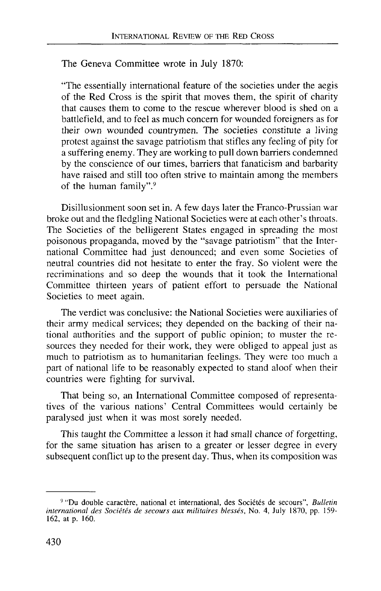The Geneva Committee wrote in July 1870:

"The essentially international feature of the societies under the aegis of the Red Cross is the spirit that moves them, the spirit of charity that causes them to come to the rescue wherever blood is shed on a battlefield, and to feel as much concern for wounded foreigners as for their own wounded countrymen. The societies constitute a living protest against the savage patriotism that stifles any feeling of pity for a suffering enemy. They are working to pull down barriers condemned by the conscience of our times, barriers that fanaticism and barbarity have raised and still too often strive to maintain among the members of the human family".<sup>9</sup>

Disillusionment soon set in. A few days later the Franco-Prussian war broke out and the fledgling National Societies were at each other's throats. The Societies of the belligerent States engaged in spreading the most poisonous propaganda, moved by the "savage patriotism" that the International Committee had just denounced; and even some Societies of neutral countries did not hesitate to enter the fray. So violent were the recriminations and so deep the wounds that it took the International Committee thirteen years of patient effort to persuade the National Societies to meet again.

The verdict was conclusive: the National Societies were auxiliaries of their army medical services; they depended on the backing of their national authorities and the support of public opinion; to muster the resources they needed for their work, they were obliged to appeal just as much to patriotism as to humanitarian feelings. They were too much a part of national life to be reasonably expected to stand aloof when their countries were fighting for survival.

That being so, an International Committee composed of representatives of the various nations' Central Committees would certainly be paralysed just when it was most sorely needed.

This taught the Committee a lesson it had small chance of forgetting, for the same situation has arisen to a greater or lesser degree in every subsequent conflict up to the present day. Thus, when its composition was

<sup>&</sup>lt;sup>9</sup> "Du double caractère, national et international, des Sociétés de secours", *Bulletin international des Societes de secours aux militaires blesses,* No. 4, July 1870, pp. 159- 162, at p. 160.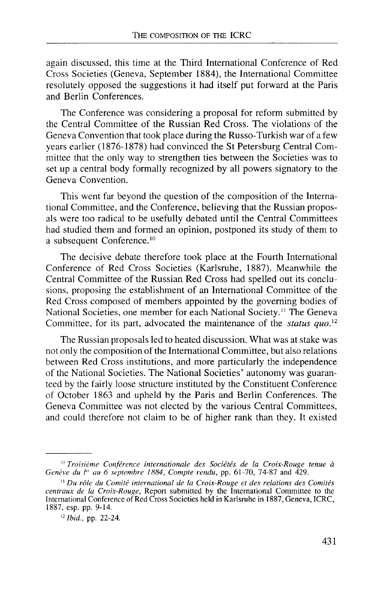again discussed, this time at the Third International Conference of Red Cross Societies (Geneva, September 1884), the International Committee resolutely opposed the suggestions it had itself put forward at the Paris and Berlin Conferences.

The Conference was considering a proposal for reform submitted by the Central Committee of the Russian Red Cross. The violations of the Geneva Convention that took place during the Russo-Turkish war of a few years earlier (1876-1878) had convinced the St Petersburg Central Committee that the only way to strengthen ties between the Societies was to set up a central body formally recognized by all powers signatory to the Geneva Convention.

This went far beyond the question of the composition of the International Committee, and the Conference, believing that the Russian proposals were too radical to be usefully debated until the Central Committees had studied them and formed an opinion, postponed its study of them to a subsequent Conference.<sup>10</sup>

The decisive debate therefore took place at the Fourth International Conference of Red Cross Societies (Karlsruhe, 1887). Meanwhile the Central Committee of the Russian Red Cross had spelled out its conclusions, proposing the establishment of an International Committee of the Red Cross composed of members appointed by the governing bodies of National Societies, one member for each National Society." The Geneva Committee, for its part, advocated the maintenance of the *status quo.'2*

The Russian proposals led to heated discussion. What was at stake was not only the composition of the International Committee, but also relations between Red Cross institutions, and more particularly the independence of the National Societies. The National Societies' autonomy was guaranteed by the fairly loose structure instituted by the Constituent Conference of October 1863 and upheld by the Paris and Berlin Conferences. The Geneva Committee was not elected by the various Central Committees, and could therefore not claim to be of higher rank than they. It existed

<sup>&</sup>lt;sup>10</sup> Troisième Conférence internationale des Sociétés de la Croix-Rouge tenue à *Geneve du I" au 6 septembre 1884, Compte rendu,* pp. 61-70, 74-87 and 429.

<sup>&</sup>lt;sup>11</sup> Du rôle du Comité international de la Croix-Rouge et des relations des Comités *centraux de la Croix-Rouge,* Report submitted by the International Committee to the International Conference of Red Cross Societies held in Karlsruhe in 1887, Geneva, ICRC, 1887, esp. pp. 9-14.

<sup>12</sup>  *Ibid.,* pp. 22-24.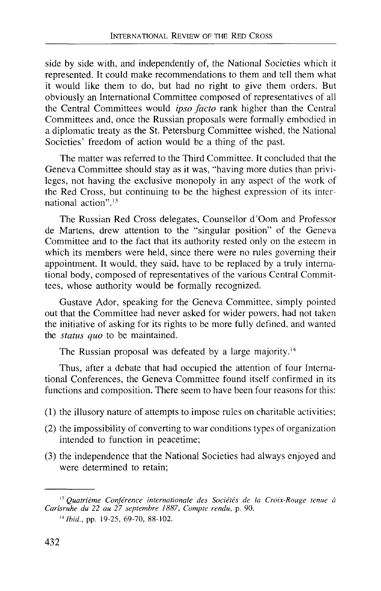side by side with, and independently of, the National Societies which it represented. It could make recommendations to them and tell them what it would like them to do, but had no right to give them orders. But obviously an International Committee composed of representatives of all the Central Committees would *ipso facto* rank higher than the Central Committees and, once the Russian proposals were formally embodied in a diplomatic treaty as the St. Petersburg Committee wished, the National Societies' freedom of action would be a thing of the past.

The matter was referred to the Third Committee. It concluded that the Geneva Committee should stay as it was, "having more duties than privileges, not having the exclusive monopoly in any aspect of the work of the Red Cross, but continuing to be the highest expression of its international action".<sup>13</sup>

The Russian Red Cross delegates, Counsellor d'Oom and Professor de Martens, drew attention to the "singular position" of the Geneva Committee and to the fact that its authority rested only on the esteem in which its members were held, since there were no rules governing their appointment. It would, they said, have to be replaced by a truly international body, composed of representatives of the various Central Committees, whose authority would be formally recognized.

Gustave Ador, speaking for the Geneva Committee, simply pointed out that the Committee had never asked for wider powers, had not taken the initiative of asking for its rights to be more fully defined, and wanted the *status quo* to be maintained.

The Russian proposal was defeated by a large majority.<sup>14</sup>

Thus, after a debate that had occupied the attention of four International Conferences, the Geneva Committee found itself confirmed in its functions and composition. There seem to have been four reasons for this:

- (1) the illusory nature of attempts to impose rules on charitable activities;
- (2) the impossibility of converting to war conditions types of organization intended to function in peacetime;
- (3) the independence that the National Societies had always enjoyed and were determined to retain;

<sup>&</sup>lt;sup>13</sup> Quatrième Conférence internationale des Sociétés de la Croix-Rouge tenue à *Carlsruhe du 22 au 27 septembre 1887, Compte rendu,* p. 90.

<sup>&</sup>lt;sup>14</sup> *Ibid.*, pp. 19-25, 69-70, 88-102.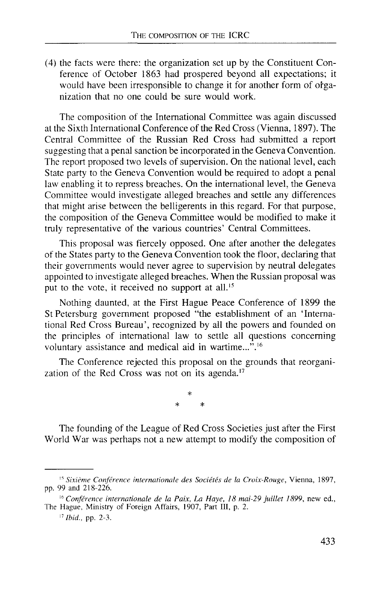(4) the facts were there: the organization set up by the Constituent Conference of October 1863 had prospered beyond all expectations; it would have been irresponsible to change it for another form of organization that no one could be sure would work.

The composition of the International Committee was again discussed at the Sixth International Conference of the Red Cross (Vienna, 1897). The Central Committee of the Russian Red Cross had submitted a report suggesting that a penal sanction be incorporated in the Geneva Convention. The report proposed two levels of supervision. On the national level, each State party to the Geneva Convention would be required to adopt a penal law enabling it to repress breaches. On the international level, the Geneva Committee would investigate alleged breaches and settle any differences that might arise between the belligerents in this regard. For that purpose, the composition of the Geneva Committee would be modified to make it truly representative of the various countries' Central Committees.

This proposal was fiercely opposed. One after another the delegates of the States party to the Geneva Convention took the floor, declaring that their governments would never agree to supervision by neutral delegates appointed to investigate alleged breaches. When the Russian proposal was put to the vote, it received no support at all.<sup>15</sup>

Nothing daunted, at the First Hague Peace Conference of 1899 the St Petersburg government proposed "the establishment of an 'International Red Cross Bureau', recognized by all the powers and founded on the principles of international law to settle all questions concerning voluntary assistance and medical aid in wartime...".<sup>16</sup>

The Conference rejected this proposal on the grounds that reorganization of the Red Cross was not on its agenda.<sup>17</sup>

.<br>X

The founding of the League of Red Cross Societies just after the First World War was perhaps not a new attempt to modify the composition of

<sup>&</sup>lt;sup>15</sup> Sixième Conférence internationale des Sociétés de la Croix-Rouge, Vienna, 1897, pp. 99 and 218-226.

<sup>&</sup>lt;sup>16</sup> Conférence internationale de la Paix, La Haye, 18 mai-29 juillet 1899, new ed., The Hague, Ministry of Foreign Affairs, 1907, Part III, p. 2.

*<sup>11</sup> Ibid.,* pp. 2-3.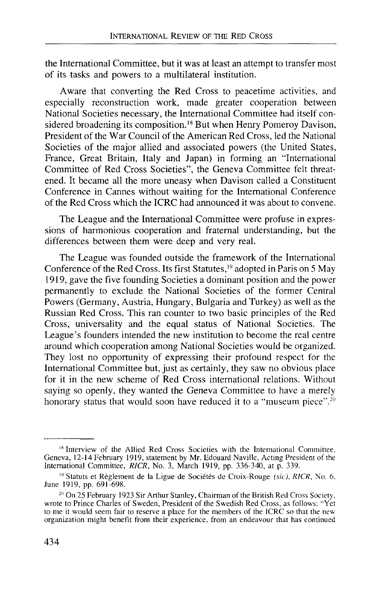the International Committee, but it was at least an attempt to transfer most of its tasks and powers to a multilateral institution.

Aware that converting the Red Cross to peacetime activities, and especially reconstruction work, made greater cooperation between National Societies necessary, the International Committee had itself considered broadening its composition.<sup>18</sup> But when Henry Pomeroy Davison, President of the War Council of the American Red Cross, led the National Societies of the major allied and associated powers (the United States, France, Great Britain, Italy and Japan) in forming an "International Committee of Red Cross Societies", the Geneva Committee felt threatened. It became all the more uneasy when Davison called a Constituent Conference in Cannes without waiting for the International Conference of the Red Cross which the ICRC had announced it was about to convene.

The League and the International Committee were profuse in expressions of harmonious cooperation and fraternal understanding, but the differences between them were deep and very real.

The League was founded outside the framework of the International Conference of the Red Cross. Its first Statutes,<sup>19</sup> adopted in Paris on 5 May 1919, gave the five founding Societies a dominant position and the power permanently to exclude the National Societies of the former Central Powers (Germany, Austria, Hungary, Bulgaria and Turkey) as well as the Russian Red Cross. This ran counter to two basic principles of the Red Cross, universality and the equal status of National Societies. The League's founders intended the new institution to become the real centre around which cooperation among National Societies would be organized. They lost no opportunity of expressing their profound respect for the International Committee but, just as certainly, they saw no obvious place for it in the new scheme of Red Cross international relations. Without saying so openly, they wanted the Geneva Committee to have a merely honorary status that would soon have reduced it to a "museum piece".<sup>20</sup>

<sup>&</sup>lt;sup>18</sup> Interview of the Allied Red Cross Societies with the International Committee, Geneva, 12-14 February 1919, statement by Mr. Edouard Naville, Acting President of the International Committee, *RICR,* No. 3, March 1919, pp. 336-340, at p. 339.

<sup>&</sup>lt;sup>19</sup> Statuts et Règlement de la Ligue de Sociétés de Croix-Rouge (sic), RICR, No. 6, June 1919, pp. 691-698.

<sup>&</sup>lt;sup>20</sup> On 25 February 1923 Sir Arthur Stanley, Chairman of the British Red Cross Society, wrote to Prince Charles of Sweden, President of the Swedish Red Cross, as follows: "Yet to me it would seem fair to reserve a place for the members of the ICRC so that the new organization might benefit from their experience, from an endeavour that has continued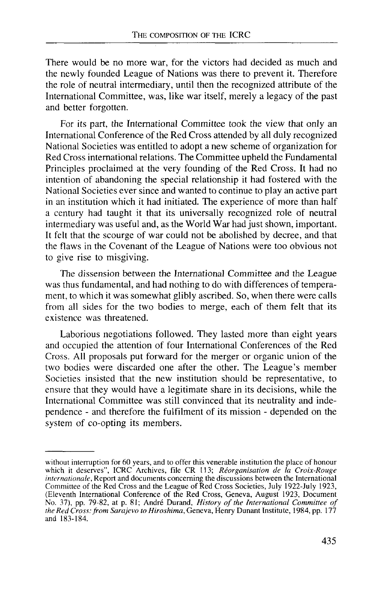There would be no more war, for the victors had decided as much and the newly founded League of Nations was there to prevent it. Therefore the role of neutral intermediary, until then the recognized attribute of the International Committee, was, like war itself, merely a legacy of the past and better forgotten.

For its part, the International Committee took the view that only an International Conference of the Red Cross attended by all duly recognized National Societies was entitled to adopt a new scheme of organization for Red Cross international relations. The Committee upheld the Fundamental Principles proclaimed at the very founding of the Red Cross. It had no intention of abandoning the special relationship it had fostered with the National Societies ever since and wanted to continue to play an active part in an institution which it had initiated. The experience of more than half a century had taught it that its universally recognized role of neutral intermediary was useful and, as the World War had just shown, important. It felt that the scourge of war could not be abolished by decree, and that the flaws in the Covenant of the League of Nations were too obvious not to give rise to misgiving.

The dissension between the International Committee and the League was thus fundamental, and had nothing to do with differences of temperament, to which it was somewhat glibly ascribed. So, when there were calls from all sides for the two bodies to merge, each of them felt that its existence was threatened.

Laborious negotiations followed. They lasted more than eight years and occupied the attention of four International Conferences of the Red Cross. All proposals put forward for the merger or organic union of the two bodies were discarded one after the other. The League's member Societies insisted that the new institution should be representative, to ensure that they would have a legitimate share in its decisions, while the International Committee was still convinced that its neutrality and independence - and therefore the fulfilment of its mission - depended on the system of co-opting its members.

without interruption for 60 years, and to offer this venerable institution the place of honour which it deserves", ICRC Archives, file CR 113; *Reorganisation de la Croix-Rouge imcrnationale,* Report and documents concerning the discussions between the International Committee of the Red Cross and the League of Red Cross Societies, July 1922-July 1923, (Eleventh International Conference of the Red Cross, Geneva, August 1923, Document No. 37), pp. 79-82, at p. 81; Andre Durand, *History of the International Committee of the Red Cross: from Sarajevo to Hiroshima,* Geneva, Henry Dunant Institute, 1984, pp. 177 and 183-184.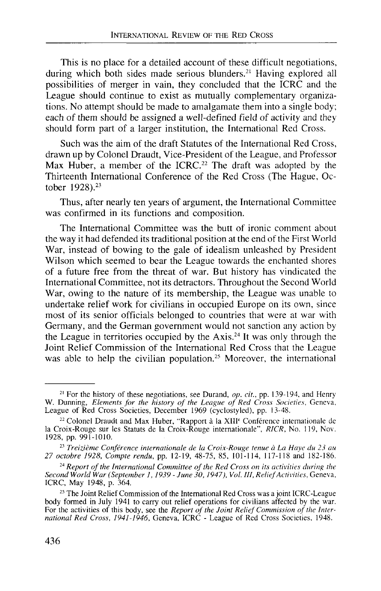This is no place for a detailed account of these difficult negotiations, during which both sides made serious blunders.<sup>21</sup> Having explored all possibilities of merger in vain, they concluded that the ICRC and the League should continue to exist as mutually complementary organizations. No attempt should be made to amalgamate them into a single body; each of them should be assigned a well-defined field of activity and they should form part of a larger institution, the International Red Cross.

Such was the aim of the draft Statutes of the International Red Cross, drawn up by Colonel Draudt, Vice-President of the League, and Professor Max Huber, a member of the ICRC.<sup>22</sup> The draft was adopted by the Thirteenth International Conference of the Red Cross (The Hague, October 1928).<sup>23</sup>

Thus, after nearly ten years of argument, the International Committee was confirmed in its functions and composition.

The International Committee was the butt of ironic comment about the way it had defended its traditional position at the end of the First World War, instead of bowing to the gale of idealism unleashed by President Wilson which seemed to bear the League towards the enchanted shores of a future free from the threat of war. But history has vindicated the International Committee, not its detractors. Throughout the Second World War, owing to the nature of its membership, the League was unable to undertake relief work for civilians in occupied Europe on its own, since most of its senior officials belonged to countries that were at war with Germany, and the German government would not sanction any action by the League in territories occupied by the Axis.<sup>24</sup> It was only through the Joint Relief Commission of the International Red Cross that the League was able to help the civilian population.<sup>25</sup> Moreover, the international

<sup>21</sup> For the history of these negotiations, see Durand, *op. cit.,* pp. 139-194, and Henry W. Dunning, *Elements for the history of the League of Red Cross Societies,* Geneva, League of Red Cross Societies, December 1969 (cyclostyled), pp. 13-48.

<sup>&</sup>lt;sup>22</sup> Colonel Draudt and Max Huber, "Rapport à la XIII<sup>e</sup> Conférence internationale de la Croix-Rouge sur les Statuts de la Croix-Rouge intemationale", *R1CR,* No. 119, Nov. 1928, pp. 991-1010.

<sup>&</sup>lt;sup>23</sup> Treizième Conférence internationale de la Croix-Rouge tenue à La Haye du 23 au *27 octobre 1928, Compte rendu,* pp. 12-19, 48-75, 85, 101-114, 117-118 and 182-186.

<sup>&</sup>lt;sup>24</sup> Report of the International Committee of the Red Cross on its activities during the *Second World War (September 1, 1939- June 30,1947), Vol. HI, Relief Activities,* Geneva, ICRC, May 1948, p. 364.

<sup>&</sup>lt;sup>25</sup> The Joint Relief Commission of the International Red Cross was a joint ICRC-League body formed in July 1941 to carry out relief operations for civilians affected by the war. For the activities of this body, see the *Report of the Joint Relief Commission of the International Red Cross, 1941-1946,* Geneva, ICRC - League of Red Cross Societies, 1948.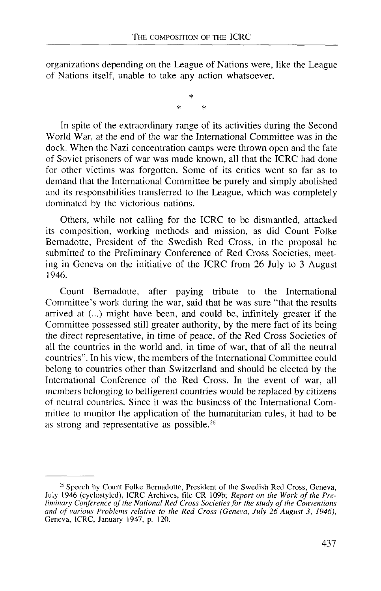organizations depending on the League of Nations were, like the League of Nations itself, unable to take any action whatsoever.

> $\ddot{\phantom{0}}$  $\ast$

In spite of the extraordinary range of its activities during the Second World War, at the end of the war the International Committee was in the dock. When the Nazi concentration camps were thrown open and the fate of Soviet prisoners of war was made known, all that the ICRC had done for other victims was forgotten. Some of its critics went so far as to demand that the International Committee be purely and simply abolished and its responsibilities transferred to the League, which was completely dominated by the victorious nations.

Others, while not calling for the ICRC to be dismantled, attacked its composition, working methods and mission, as did Count Folke Bernadotte, President of the Swedish Red Cross, in the proposal he submitted to the Preliminary Conference of Red Cross Societies, meeting in Geneva on the initiative of the ICRC from 26 July to 3 August 1946.

Count Bernadotte, after paying tribute to the International Committee's work during the war, said that he was sure "that the results arrived at (...) might have been, and could be, infinitely greater if the Committee possessed still greater authority, by the mere fact of its being the direct representative, in time of peace, of the Red Cross Societies of all the countries in the world and, in time of war, that of all the neutral countries". In his view, the members of the International Committee could belong to countries other than Switzerland and should be elected by the International Conference of the Red Cross. In the event of war, all members belonging to belligerent countries would be replaced by citizens of neutral countries. Since it was the business of the International Committee to monitor the application of the humanitarian rules, it had to be as strong and representative as possible.<sup>26</sup>

<sup>&</sup>lt;sup>26</sup> Speech by Count Folke Bernadotte, President of the Swedish Red Cross, Geneva, July 1946 (cyclostyled), ICRC Archives, file CR 109b; *Report on the Work of the Preliminary Conference of the National Red Cross Societies for the study of the Conventions and of various Problems relative to the Red Cross (Geneva, July 26-August 3, 1946),* Geneva, ICRC, January 1947, p. 120.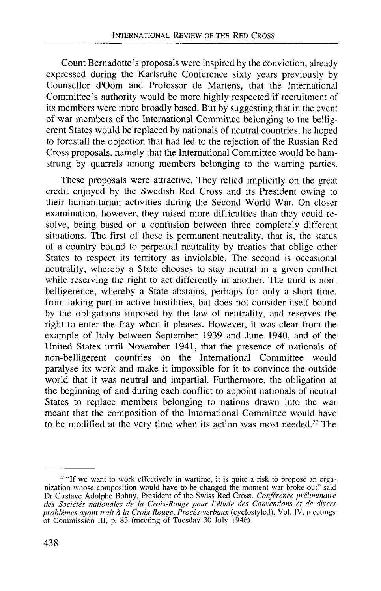Count Bernadotte's proposals were inspired by the conviction, already expressed during the Karlsruhe Conference sixty years previously by Counsellor d'Oom and Professor de Martens, that the International Committee's authority would be more highly respected if recruitment of its members were more broadly based. But by suggesting that in the event of war members of the International Committee belonging to the belligerent States would be replaced by nationals of neutral countries, he hoped to forestall the objection that had led to the rejection of the Russian Red Cross proposals, namely that the International Committee would be hamstrung by quarrels among members belonging to the warring parties.

These proposals were attractive. They relied implicitly on the great credit enjoyed by the Swedish Red Cross and its President owing to their humanitarian activities during the Second World War. On closer examination, however, they raised more difficulties than they could resolve, being based on a confusion between three completely different situations. The first of these is permanent neutrality, that is, the status of a country bound to perpetual neutrality by treaties that oblige other States to respect its territory as inviolable. The second is occasional neutrality, whereby a State chooses to stay neutral in a given conflict while reserving the right to act differently in another. The third is nonbelligerence, whereby a State abstains, perhaps for only a short time, from taking part in active hostilities, but does not consider itself bound by the obligations imposed by the law of neutrality, and reserves the right to enter the fray when it pleases. However, it was clear from the example of Italy between September 1939 and June 1940, and of the United States until November 1941, that the presence of nationals of non-belligerent countries on the International Committee would paralyse its work and make it impossible for it to convince the outside world that it was neutral and impartial. Furthermore, the obligation at the beginning of and during each conflict to appoint nationals of neutral States to replace members belonging to nations drawn into the war meant that the composition of the International Committee would have meant that the composition of the international committee would have

<sup>&</sup>lt;sup>27</sup> "If we want to work effectively in wartime, it is quite a risk to propose an organization whose composition would have to be changed the moment war broke out" said Dr Gustave Adolphe Bohny, President of the Swiss Red Cross. *Conference preliminaire* des Sociétés nationales de la Croix-Rouge pour l'étude des Conventions et de divers *problemes ayant trait a la Croix-Rouge, Proces-verbaux* (cyclostyled), Vol. IV, meetings of Commission III, p. 83 (meeting of Tuesday 30 July 1946).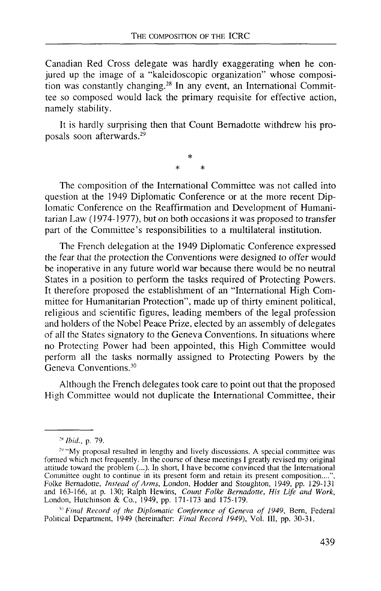Canadian Red Cross delegate was hardly exaggerating when he conjured up the image of a "kaleidoscopic organization" whose composition was constantly changing.<sup>28</sup> In any event, an International Committee so composed would lack the primary requisite for effective action, namely stability.

It is hardly surprising then that Count Bernadotte withdrew his proposals soon afterwards.<sup>29</sup>

The composition of the International Committee was not called into question at the 1949 Diplomatic Conference or at the more recent Diplomatic Conference on the Reaffirmation and Development of Humanitarian Law (1974-1977), but on both occasions it was proposed to transfer part of the Committee's responsibilities to a multilateral institution.

The French delegation at the 1949 Diplomatic Conference expressed the fear that the protection the Conventions were designed to offer would be inoperative in any future world war because there would be no neutral States in a position to perform the tasks required of Protecting Powers. It therefore proposed the establishment of an "International High Committee for Humanitarian Protection", made up of thirty eminent political, religious and scientific figures, leading members of the legal profession and holders of the Nobel Peace Prize, elected by an assembly of delegates of all the States signatory to the Geneva Conventions. In situations where no Protecting Power had been appointed, this High Committee would perform all the tasks normally assigned to Protecting Powers by the Geneva Conventions.<sup>30</sup>

Although the French delegates took care to point out that the proposed High Committee would not duplicate the International Committee, their

<sup>30</sup> Final Record of the Diplomatic Conference of Geneva of 1949, Bern, Federal Political Department, 1949 (hereinafter: *Final Record 1949),* Vol. Ill, pp. 30-31.

*<sup>2</sup> \* Ibid.,* p. 79.

*<sup>29</sup>* "My proposal resulted in lengthy and lively discussions. A special committee was formed which met frequently. In the course of these meetings I greatly revised my original attitude toward the problem (...). In short, I have become convinced that the International Committee ought to continue in its present form and retain its present composition....", Folke Bernadotte, *Instead of Arms,* London, Hodder and Stoughton, 1949, pp. 129-131 and 163-166, at p. 130; Ralph Hewins, *Count Folke Bernadotte, His Life and Work,* London, Hutchinson & Co., 1949, pp. 171-173 and 175-179.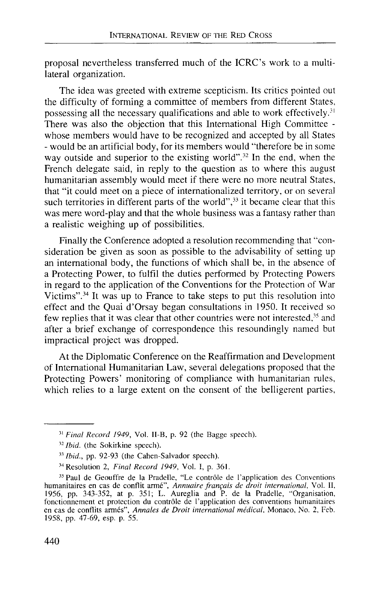proposal nevertheless transferred much of the ICRC's work to a multilateral organization.

The idea was greeted with extreme scepticism. Its critics pointed out the difficulty of forming a committee of members from different States, possessing all the necessary qualifications and able to work effectively.<sup>31</sup> There was also the objection that this International High Committee whose members would have to be recognized and accepted by all States - would be an artificial body, for its members would "therefore be in some way outside and superior to the existing world".<sup>32</sup> In the end, when the French delegate said, in reply to the question as to where this august humanitarian assembly would meet if there were no more neutral States, that "it could meet on a piece of internationalized territory, or on several such territories in different parts of the world",<sup>33</sup> it became clear that this was mere word-play and that the whole business was a fantasy rather than a realistic weighing up of possibilities.

Finally the Conference adopted a resolution recommending that "consideration be given as soon as possible to the advisability of setting up an international body, the functions of which shall be, in the absence of a Protecting Power, to fulfil the duties performed by Protecting Powers in regard to the application of the Conventions for the Protection of War Victims".<sup>34</sup> It was up to France to take steps to put this resolution into effect and the Quai d'Orsay began consultations in 1950. It received so few replies that it was clear that other countries were not interested,<sup>35</sup> and after a brief exchange of correspondence this resoundingly named but impractical project was dropped.

At the Diplomatic Conference on the Reaffirmation and Development of International Humanitarian Law, several delegations proposed that the Protecting Powers' monitoring of compliance with humanitarian rules, which relies to a large extent on the consent of the belligerent parties,

<sup>&</sup>lt;sup>31</sup> Final Record 1949, Vol. II-B, p. 92 (the Bagge speech).

<sup>&</sup>lt;sup>32</sup> Ibid. (the Sokirkine speech).

<sup>33</sup>  *Ibid.,* pp. 92-93 (the Cahen-Salvador speech).

<sup>&</sup>lt;sup>34</sup> Resolution 2, *Final Record 1949*, Vol. I, p. 361.

<sup>35</sup> Paul de Geouffre de la Pradelle, "Le contrôle de l'application des Conventions humanitaires en cas de conflit armé", *Annuaire français de droit international*, Vol. II, 1956, pp. 343-352, at p. 351; L. Aureglia and P. de la Pradelle, "Organisation, fonctionnement et protection du contrôle de l'application des conventions humanitaires en cas de conflits armes", *Annales de Droit international medical,* Monaco, No. 2, Feb. 1958, pp. 47-69, esp. p. 55.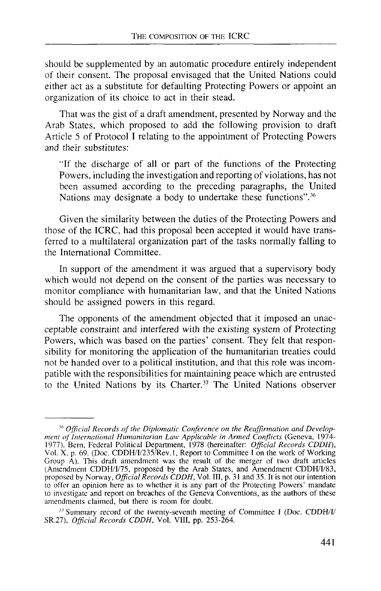should be supplemented by an automatic procedure entirely independent of their consent. The proposal envisaged that the United Nations could either act as a substitute for defaulting Protecting Powers or appoint an organization of its choice to act in their stead.

That was the gist of a draft amendment, presented by Norway and the Arab States, which proposed to add the following provision to draft Article 5 of Protocol I relating to the appointment of Protecting Powers and their substitutes:

"If the discharge of all or part of the functions of the Protecting Powers, including the investigation and reporting of violations, has not been assumed according to the preceding paragraphs, the United Nations may designate a body to undertake these functions".<sup>36</sup>

Given the similarity between the duties of the Protecting Powers and those of the ICRC, had this proposal been accepted it would have transferred to a multilateral organization part of the tasks normally falling to the International Committee.

In support of the amendment it was argued that a supervisory body which would not depend on the consent of the parties was necessary to monitor compliance with humanitarian law, and that the United Nations should be assigned powers in this regard.

The opponents of the amendment objected that it imposed an unacceptable constraint and interfered with the existing system of Protecting Powers, which was based on the parties' consent. They felt that responsibility for monitoring the application of the humanitarian treaties could not be handed over to a political institution, and that this role was incompatible with the responsibilities for maintaining peace which are entrusted to the United Nations by its Charter.<sup>37</sup> The United Nations observer

<sup>&</sup>lt;sup>36</sup> Official Records of the Diplomatic Conference on the Reaffirmation and Develop*ment of International Humanitarian Law Applicable in Armed Conflicts* (Geneva, 1974- 1977), Bern, Federal Political Department, 1978 (hereinafter: *Official Records CDDH),* Vol. X, p. 69. (Doc. CDDH/I/235/Rev. 1, Report to Committee I on the work of Working Group A). This draft amendment was the result of the merger of two draft articles (Amendment CDDH/I/75, proposed by the Arab States, and Amendment CDDH/I/83, proposed by Norway, *Official Records CDDH,* Vol. Ill, p. 31 and 35. It is not our intention to offer an opinion here as to whether it is any part of the Protecting Powers' mandate to investigate and report on breaches of the Geneva Conventions, as the authors of these amendments claimed, but there is room for doubt.

<sup>&</sup>lt;sup>37</sup> Summary record of the twenty-seventh meeting of Committee I (Doc. CDDH/I/ SR.27), *Official Records CDDH,* Vol. VIII, pp. 253-264.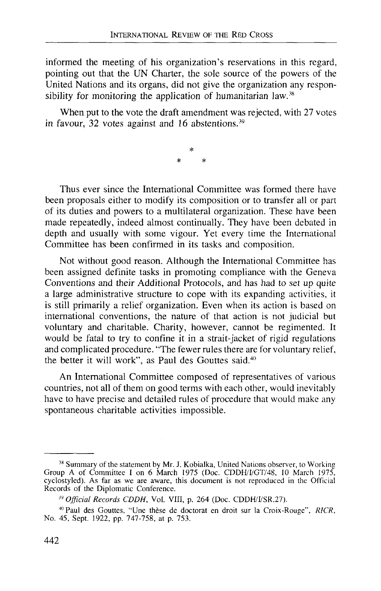informed the meeting of his organization's reservations in this regard, pointing out that the UN Charter, the sole source of the powers of the United Nations and its organs, did not give the organization any responsibility for monitoring the application of humanitarian law.<sup>38</sup>

When put to the vote the draft amendment was rejected, with 27 votes in favour,  $32$  votes against and 16 abstentions.<sup>39</sup>

Thus ever since the International Committee was formed there have been proposals either to modify its composition or to transfer all or part of its duties and powers to a multilateral organization. These have been made repeatedly, indeed almost continually. They have been debated in depth and usually with some vigour. Yet every time the International Committee has been confirmed in its tasks and composition.

Not without good reason. Although the International Committee has been assigned definite tasks in promoting compliance with the Geneva Conventions and their Additional Protocols, and has had to set up quite a large administrative structure to cope with its expanding activities, it is still primarily a relief organization. Even when its action is based on international conventions, the nature of that action is not judicial but voluntary and charitable. Charity, however, cannot be regimented. It would be fatal to try to confine it in a strait-jacket of rigid regulations and complicated procedure. "The fewer rules there are for voluntary relief, the better it will work", as Paul des Gouttes said.<sup>40</sup>

An International Committee composed of representatives of various countries, not all of them on good terms with each other, would inevitably have to have precise and detailed rules of procedure that would make any spontaneous charitable activities impossible.

<sup>&</sup>lt;sup>38</sup> Summary of the statement by Mr. J. Kobialka, United Nations observer, to Working Group A of Committee I on 6 March 1975 (Doc. CDDH/I/GT/48, 10 March 1975, cyclostyled). As far as we are aware, this document is not reproduced in the Official Records of the Diplomatic Conference.

<sup>39</sup>  *Official Records CDDH,* Vol. VIII, p. 264 (Doc. CDDH/I/SR.27).

<sup>\*</sup>Paul des Gouttes, "Une these de doctorat en droit sur la Croix-Rouge", *RICR,* No. 45, Sept. 1922, pp. 747-758, at p. 753.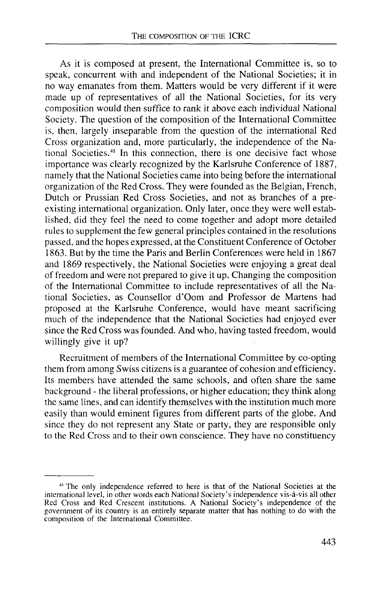As it is composed at present, the International Committee is, so to speak, concurrent with and independent of the National Societies; it in no way emanates from them. Matters would be very different if it were made up of representatives of all the National Societies, for its very composition would then suffice to rank it above each individual National Society. The question of the composition of the International Committee is, then, largely inseparable from the question of the international Red Cross organization and, more particularly, the independence of the National Societies.<sup>41</sup> In this connection, there is one decisive fact whose importance was clearly recognized by the Karlsruhe Conference of 1887, namely that the National Societies came into being before the international organization of the Red Cross. They were founded as the Belgian, French, Dutch or Prussian Red Cross Societies, and not as branches of a preexisting international organization. Only later, once they were well established, did they feel the need to come together and adopt more detailed rules to supplement the few general principles contained in the resolutions passed, and the hopes expressed, at the Constituent Conference of October 1863. But by the time the Paris and Berlin Conferences were held in 1867 and 1869 respectively, the National Societies were enjoying a great deal of freedom and were not prepared to give it up. Changing the composition of the International Committee to include representatives of all the National Societies, as Counsellor d'Oom and Professor de Martens had proposed at the Karlsruhe Conference, would have meant sacrificing much of the independence that the National Societies had enjoyed ever since the Red Cross was founded. And who, having tasted freedom, would willingly give it up?

Recruitment of members of the International Committee by co-opting them from among Swiss citizens is a guarantee of cohesion and efficiency. Its members have attended the same schools, and often share the same background - the liberal professions, or higher education; they think along the same lines, and can identify themselves with the institution much more easily than would eminent figures from different parts of the globe. And since they do not represent any State or party, they are responsible only to the Red Cross and to their own conscience. They have no constituency

<sup>&</sup>lt;sup>41</sup> The only independence referred to here is that of the National Societies at the international level, in other words each National Society's independence vis-à-vis all other Red Cross and Red Crescent institutions. A National Society's independence of the government of its country is an entirely separa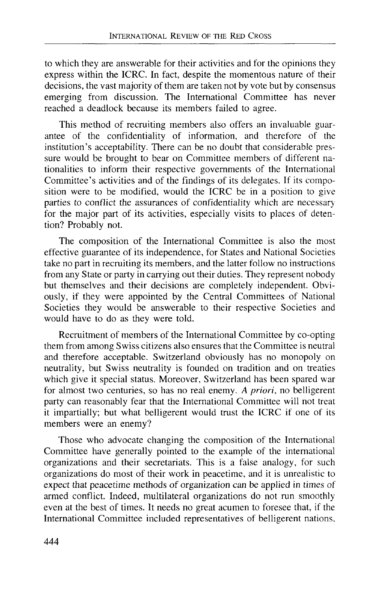to which they are answerable for their activities and for the opinions they express within the ICRC. In fact, despite the momentous nature of their decisions, the vast majority of them are taken not by vote but by consensus emerging from discussion. The International Committee has never reached a deadlock because its members failed to agree.

This method of recruiting members also offers an invaluable guarantee of the confidentiality of information, and therefore of the institution's acceptability. There can be no doubt that considerable pressure would be brought to bear on Committee members of different nationalities to inform their respective governments of the International Committee's activities and of the findings of its delegates. If its composition were to be modified, would the ICRC be in a position to give parties to conflict the assurances of confidentiality which are necessary for the major part of its activities, especially visits to places of detention? Probably not.

The composition of the International Committee is also the most effective guarantee of its independence, for States and National Societies take no part in recruiting its members, and the latter follow no instructions from any State or party in carrying out their duties. They represent nobody but themselves and their decisions are completely independent. Obviously, if they were appointed by the Central Committees of National Societies they would be answerable to their respective Societies and would have to do as they were told.

Recruitment of members of the International Committee by co-opting them from among Swiss citizens also ensures that the Committee is neutral and therefore acceptable. Switzerland obviously has no monopoly on neutrality, but Swiss neutrality is founded on tradition and on treaties which give it special status. Moreover, Switzerland has been spared war for almost two centuries, so has no real enemy. A *priori,* no belligerent party can reasonably fear that the International Committee will not treat it impartially; but what belligerent would trust the ICRC if one of its members were an enemy?

Those who advocate changing the composition of the International Committee have generally pointed to the example of the international organizations and their secretariats. This is a false analogy, for such organizations do most of their work in peacetime, and it is unrealistic to expect that peacetime methods of organization can be applied in times of armed conflict. Indeed, multilateral organizations do not run smoothly even at the best of times. It needs no great acumen to foresee that, if the International Committee included representatives of belligerent nations,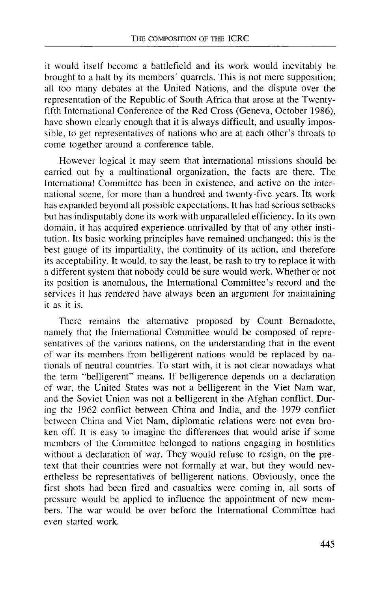it would itself become a battlefield and its work would inevitably be brought to a halt by its members' quarrels. This is not mere supposition; all too many debates at the United Nations, and the dispute over the representation of the Republic of South Africa that arose at the Twentyfifth International Conference of the Red Cross (Geneva, October 1986), have shown clearly enough that it is always difficult, and usually impossible, to get representatives of nations who are at each other's throats to come together around a conference table.

However logical it may seem that international missions should be carried out by a multinational organization, the facts are there. The International Committee has been in existence, and active on the international scene, for more than a hundred and twenty-five years. Its work has expanded beyond all possible expectations. It has had serious setbacks but has indisputably done its work with unparalleled efficiency. In its own domain, it has acquired experience unrivalled by that of any other institution. Its basic working principles have remained unchanged; this is the best gauge of its impartiality, the continuity of its action, and therefore its acceptability. It would, to say the least, be rash to try to replace it with a different system that nobody could be sure would work. Whether or not its position is anomalous, the International Committee's record and the services it has rendered have always been an argument for maintaining it as it is.

There remains the alternative proposed by Count Bernadotte, namely that the International Committee would be composed of representatives of the various nations, on the understanding that in the event of war its members from belligerent nations would be replaced by nationals of neutral countries. To start with, it is not clear nowadays what the term "belligerent" means. If belligerence depends on a declaration of war, the United States was not a belligerent in the Viet Nam war, and the Soviet Union was not a belligerent in the Afghan conflict. During the 1962 conflict between China and India, and the 1979 conflict between China and Viet Nam, diplomatic relations were not even broken off. It is easy to imagine the differences that would arise if some members of the Committee belonged to nations engaging in hostilities without a declaration of war. They would refuse to resign, on the pretext that their countries were not formally at war, but they would nevertheless be representatives of belligerent nations. Obviously, once the first shots had been fired and casualties were coming in, all sorts of pressure would be applied to influence the appointment of new members. The war would be over before the International Committee had even started work.